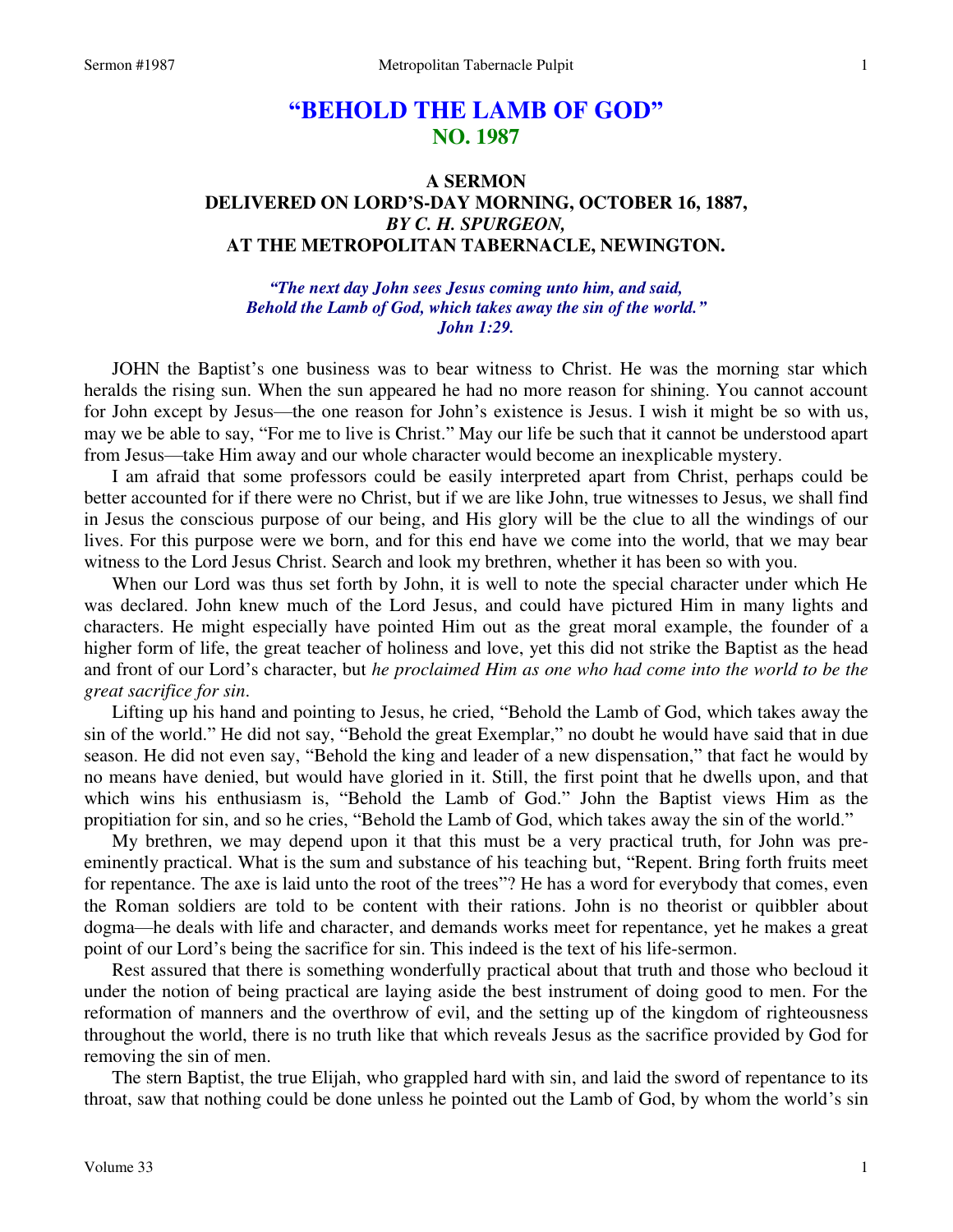## **"BEHOLD THE LAMB OF GOD" NO. 1987**

## **A SERMON DELIVERED ON LORD'S-DAY MORNING, OCTOBER 16, 1887,**  *BY C. H. SPURGEON,*  **AT THE METROPOLITAN TABERNACLE, NEWINGTON.**

*"The next day John sees Jesus coming unto him, and said, Behold the Lamb of God, which takes away the sin of the world." John 1:29.* 

JOHN the Baptist's one business was to bear witness to Christ. He was the morning star which heralds the rising sun. When the sun appeared he had no more reason for shining. You cannot account for John except by Jesus—the one reason for John's existence is Jesus. I wish it might be so with us, may we be able to say, "For me to live is Christ." May our life be such that it cannot be understood apart from Jesus—take Him away and our whole character would become an inexplicable mystery.

I am afraid that some professors could be easily interpreted apart from Christ, perhaps could be better accounted for if there were no Christ, but if we are like John, true witnesses to Jesus, we shall find in Jesus the conscious purpose of our being, and His glory will be the clue to all the windings of our lives. For this purpose were we born, and for this end have we come into the world, that we may bear witness to the Lord Jesus Christ. Search and look my brethren, whether it has been so with you.

When our Lord was thus set forth by John, it is well to note the special character under which He was declared. John knew much of the Lord Jesus, and could have pictured Him in many lights and characters. He might especially have pointed Him out as the great moral example, the founder of a higher form of life, the great teacher of holiness and love, yet this did not strike the Baptist as the head and front of our Lord's character, but *he proclaimed Him as one who had come into the world to be the great sacrifice for sin*.

Lifting up his hand and pointing to Jesus, he cried, "Behold the Lamb of God, which takes away the sin of the world." He did not say, "Behold the great Exemplar," no doubt he would have said that in due season. He did not even say, "Behold the king and leader of a new dispensation," that fact he would by no means have denied, but would have gloried in it. Still, the first point that he dwells upon, and that which wins his enthusiasm is, "Behold the Lamb of God." John the Baptist views Him as the propitiation for sin, and so he cries, "Behold the Lamb of God, which takes away the sin of the world."

My brethren, we may depend upon it that this must be a very practical truth, for John was preeminently practical. What is the sum and substance of his teaching but, "Repent. Bring forth fruits meet for repentance. The axe is laid unto the root of the trees"? He has a word for everybody that comes, even the Roman soldiers are told to be content with their rations. John is no theorist or quibbler about dogma—he deals with life and character, and demands works meet for repentance, yet he makes a great point of our Lord's being the sacrifice for sin. This indeed is the text of his life-sermon.

Rest assured that there is something wonderfully practical about that truth and those who becloud it under the notion of being practical are laying aside the best instrument of doing good to men. For the reformation of manners and the overthrow of evil, and the setting up of the kingdom of righteousness throughout the world, there is no truth like that which reveals Jesus as the sacrifice provided by God for removing the sin of men.

The stern Baptist, the true Elijah, who grappled hard with sin, and laid the sword of repentance to its throat, saw that nothing could be done unless he pointed out the Lamb of God, by whom the world's sin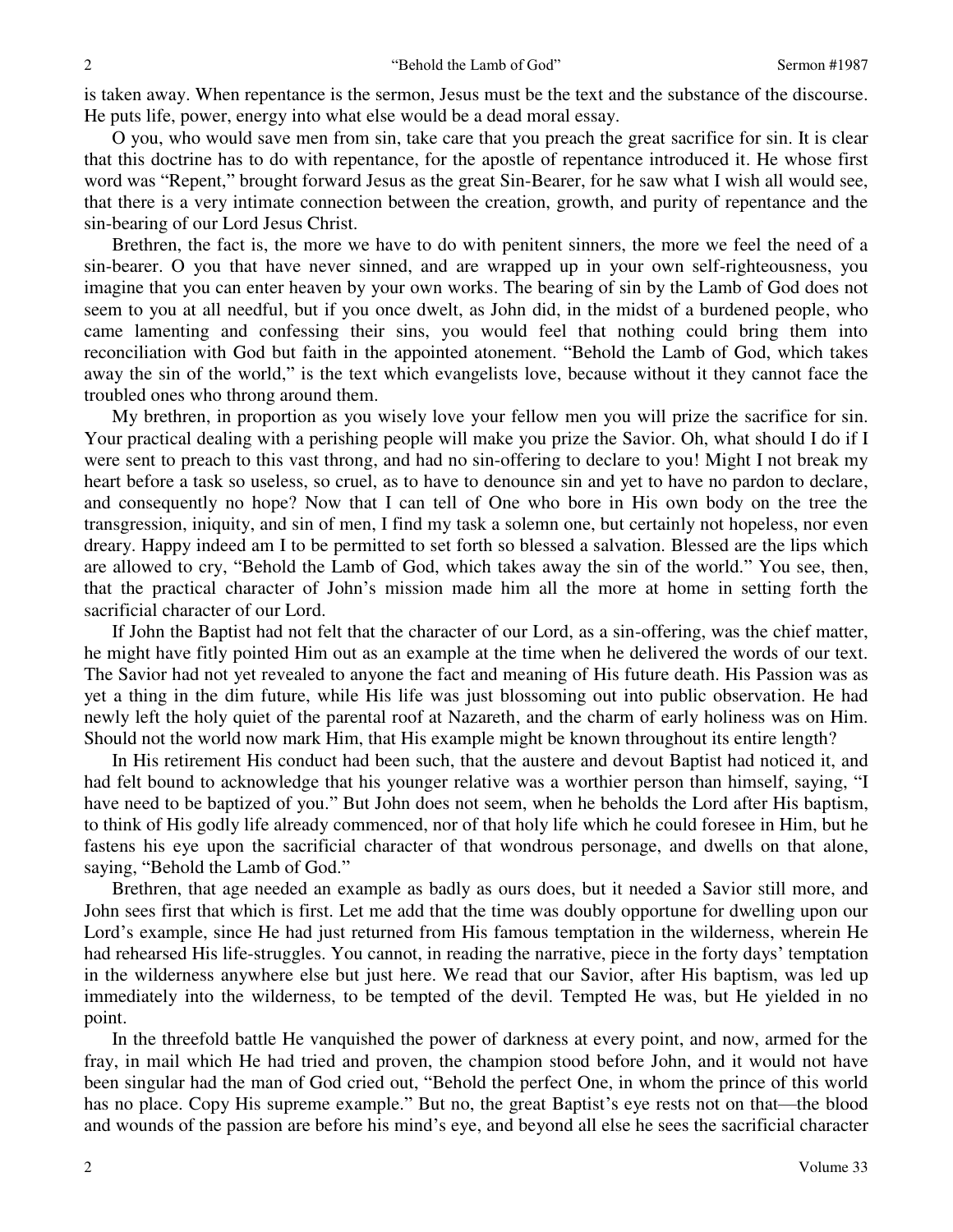is taken away. When repentance is the sermon, Jesus must be the text and the substance of the discourse. He puts life, power, energy into what else would be a dead moral essay.

O you, who would save men from sin, take care that you preach the great sacrifice for sin. It is clear that this doctrine has to do with repentance, for the apostle of repentance introduced it. He whose first word was "Repent," brought forward Jesus as the great Sin-Bearer, for he saw what I wish all would see, that there is a very intimate connection between the creation, growth, and purity of repentance and the sin-bearing of our Lord Jesus Christ.

Brethren, the fact is, the more we have to do with penitent sinners, the more we feel the need of a sin-bearer. O you that have never sinned, and are wrapped up in your own self-righteousness, you imagine that you can enter heaven by your own works. The bearing of sin by the Lamb of God does not seem to you at all needful, but if you once dwelt, as John did, in the midst of a burdened people, who came lamenting and confessing their sins, you would feel that nothing could bring them into reconciliation with God but faith in the appointed atonement. "Behold the Lamb of God, which takes away the sin of the world," is the text which evangelists love, because without it they cannot face the troubled ones who throng around them.

My brethren, in proportion as you wisely love your fellow men you will prize the sacrifice for sin. Your practical dealing with a perishing people will make you prize the Savior. Oh, what should I do if I were sent to preach to this vast throng, and had no sin-offering to declare to you! Might I not break my heart before a task so useless, so cruel, as to have to denounce sin and yet to have no pardon to declare, and consequently no hope? Now that I can tell of One who bore in His own body on the tree the transgression, iniquity, and sin of men, I find my task a solemn one, but certainly not hopeless, nor even dreary. Happy indeed am I to be permitted to set forth so blessed a salvation. Blessed are the lips which are allowed to cry, "Behold the Lamb of God, which takes away the sin of the world." You see, then, that the practical character of John's mission made him all the more at home in setting forth the sacrificial character of our Lord.

If John the Baptist had not felt that the character of our Lord, as a sin-offering, was the chief matter, he might have fitly pointed Him out as an example at the time when he delivered the words of our text. The Savior had not yet revealed to anyone the fact and meaning of His future death. His Passion was as yet a thing in the dim future, while His life was just blossoming out into public observation. He had newly left the holy quiet of the parental roof at Nazareth, and the charm of early holiness was on Him. Should not the world now mark Him, that His example might be known throughout its entire length?

In His retirement His conduct had been such, that the austere and devout Baptist had noticed it, and had felt bound to acknowledge that his younger relative was a worthier person than himself, saying, "I have need to be baptized of you." But John does not seem, when he beholds the Lord after His baptism, to think of His godly life already commenced, nor of that holy life which he could foresee in Him, but he fastens his eye upon the sacrificial character of that wondrous personage, and dwells on that alone, saying, "Behold the Lamb of God."

Brethren, that age needed an example as badly as ours does, but it needed a Savior still more, and John sees first that which is first. Let me add that the time was doubly opportune for dwelling upon our Lord's example, since He had just returned from His famous temptation in the wilderness, wherein He had rehearsed His life-struggles. You cannot, in reading the narrative, piece in the forty days' temptation in the wilderness anywhere else but just here. We read that our Savior, after His baptism, was led up immediately into the wilderness, to be tempted of the devil. Tempted He was, but He yielded in no point.

In the threefold battle He vanquished the power of darkness at every point, and now, armed for the fray, in mail which He had tried and proven, the champion stood before John, and it would not have been singular had the man of God cried out, "Behold the perfect One, in whom the prince of this world has no place. Copy His supreme example." But no, the great Baptist's eye rests not on that—the blood and wounds of the passion are before his mind's eye, and beyond all else he sees the sacrificial character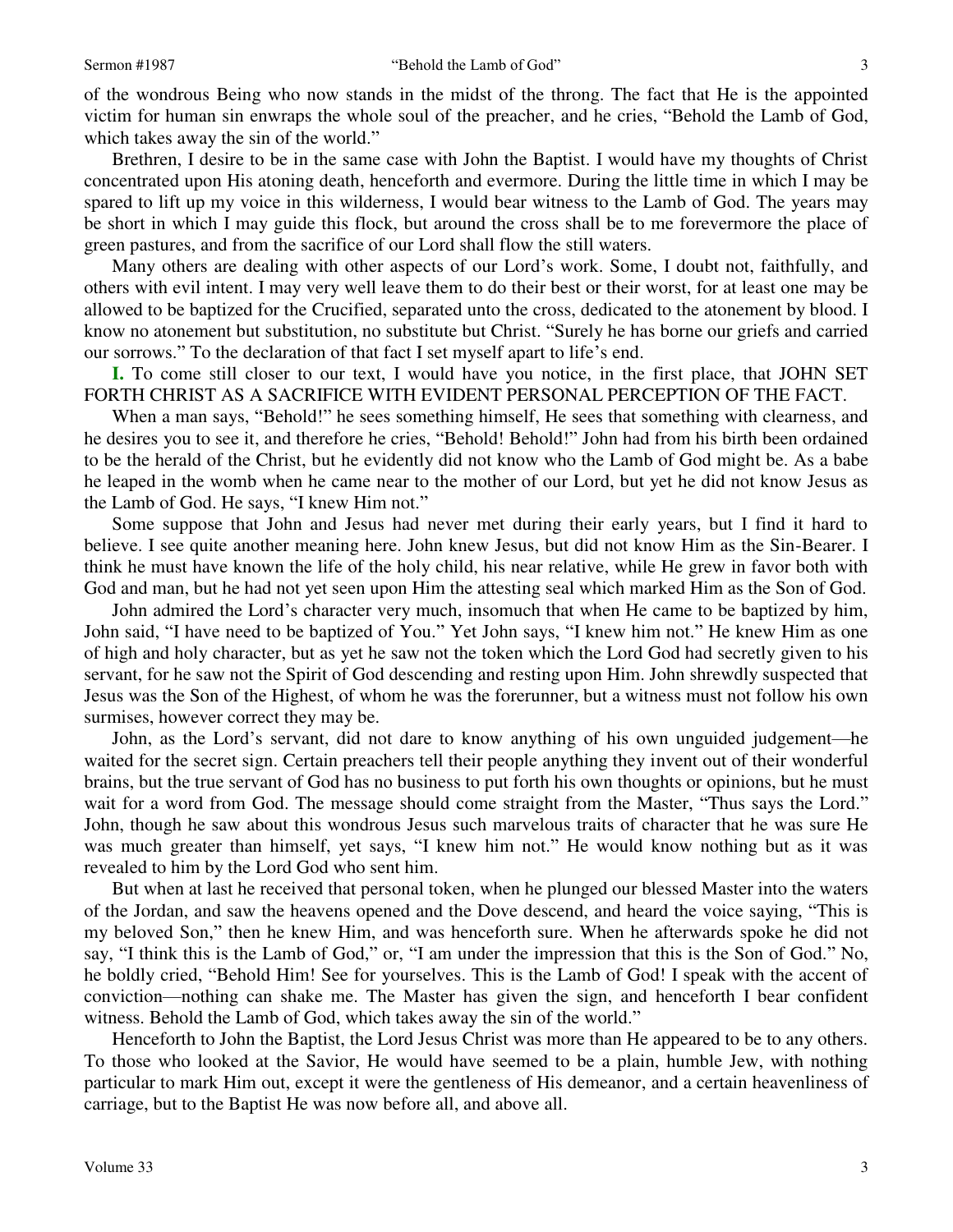of the wondrous Being who now stands in the midst of the throng. The fact that He is the appointed victim for human sin enwraps the whole soul of the preacher, and he cries, "Behold the Lamb of God, which takes away the sin of the world."

Brethren, I desire to be in the same case with John the Baptist. I would have my thoughts of Christ concentrated upon His atoning death, henceforth and evermore. During the little time in which I may be spared to lift up my voice in this wilderness, I would bear witness to the Lamb of God. The years may be short in which I may guide this flock, but around the cross shall be to me forevermore the place of green pastures, and from the sacrifice of our Lord shall flow the still waters.

Many others are dealing with other aspects of our Lord's work. Some, I doubt not, faithfully, and others with evil intent. I may very well leave them to do their best or their worst, for at least one may be allowed to be baptized for the Crucified, separated unto the cross, dedicated to the atonement by blood. I know no atonement but substitution, no substitute but Christ. "Surely he has borne our griefs and carried our sorrows." To the declaration of that fact I set myself apart to life's end.

**I.** To come still closer to our text, I would have you notice, in the first place, that JOHN SET FORTH CHRIST AS A SACRIFICE WITH EVIDENT PERSONAL PERCEPTION OF THE FACT.

When a man says, "Behold!" he sees something himself, He sees that something with clearness, and he desires you to see it, and therefore he cries, "Behold! Behold!" John had from his birth been ordained to be the herald of the Christ, but he evidently did not know who the Lamb of God might be. As a babe he leaped in the womb when he came near to the mother of our Lord, but yet he did not know Jesus as the Lamb of God. He says, "I knew Him not."

Some suppose that John and Jesus had never met during their early years, but I find it hard to believe. I see quite another meaning here. John knew Jesus, but did not know Him as the Sin-Bearer. I think he must have known the life of the holy child, his near relative, while He grew in favor both with God and man, but he had not yet seen upon Him the attesting seal which marked Him as the Son of God.

John admired the Lord's character very much, insomuch that when He came to be baptized by him, John said, "I have need to be baptized of You." Yet John says, "I knew him not." He knew Him as one of high and holy character, but as yet he saw not the token which the Lord God had secretly given to his servant, for he saw not the Spirit of God descending and resting upon Him. John shrewdly suspected that Jesus was the Son of the Highest, of whom he was the forerunner, but a witness must not follow his own surmises, however correct they may be.

John, as the Lord's servant, did not dare to know anything of his own unguided judgement—he waited for the secret sign. Certain preachers tell their people anything they invent out of their wonderful brains, but the true servant of God has no business to put forth his own thoughts or opinions, but he must wait for a word from God. The message should come straight from the Master, "Thus says the Lord." John, though he saw about this wondrous Jesus such marvelous traits of character that he was sure He was much greater than himself, yet says, "I knew him not." He would know nothing but as it was revealed to him by the Lord God who sent him.

But when at last he received that personal token, when he plunged our blessed Master into the waters of the Jordan, and saw the heavens opened and the Dove descend, and heard the voice saying, "This is my beloved Son," then he knew Him, and was henceforth sure. When he afterwards spoke he did not say, "I think this is the Lamb of God," or, "I am under the impression that this is the Son of God." No, he boldly cried, "Behold Him! See for yourselves. This is the Lamb of God! I speak with the accent of conviction—nothing can shake me. The Master has given the sign, and henceforth I bear confident witness. Behold the Lamb of God, which takes away the sin of the world."

Henceforth to John the Baptist, the Lord Jesus Christ was more than He appeared to be to any others. To those who looked at the Savior, He would have seemed to be a plain, humble Jew, with nothing particular to mark Him out, except it were the gentleness of His demeanor, and a certain heavenliness of carriage, but to the Baptist He was now before all, and above all.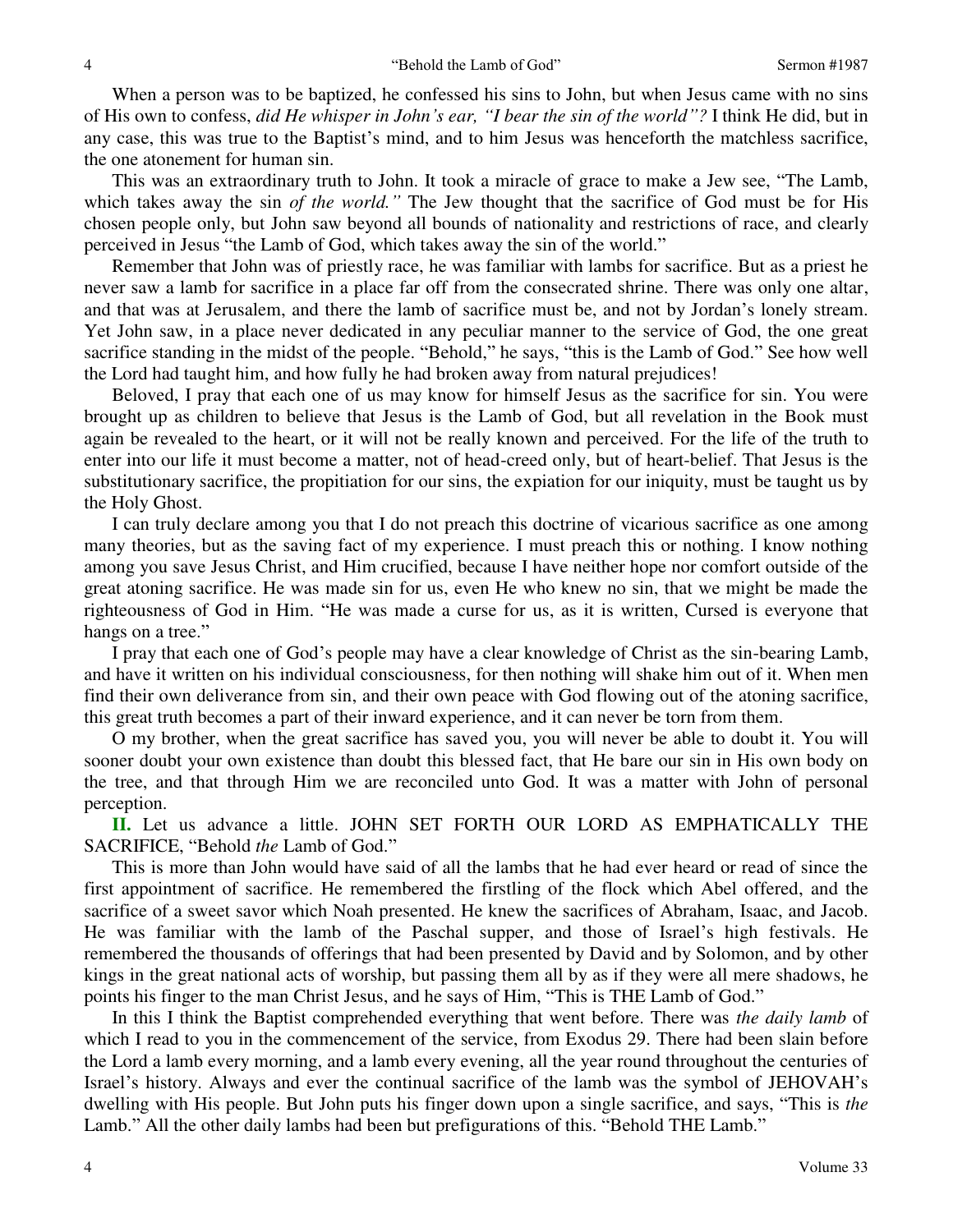When a person was to be baptized, he confessed his sins to John, but when Jesus came with no sins of His own to confess, *did He whisper in John's ear, "I bear the sin of the world"?* I think He did, but in any case, this was true to the Baptist's mind, and to him Jesus was henceforth the matchless sacrifice, the one atonement for human sin.

This was an extraordinary truth to John. It took a miracle of grace to make a Jew see, "The Lamb, which takes away the sin *of the world.*<sup>"</sup> The Jew thought that the sacrifice of God must be for His chosen people only, but John saw beyond all bounds of nationality and restrictions of race, and clearly perceived in Jesus "the Lamb of God, which takes away the sin of the world."

Remember that John was of priestly race, he was familiar with lambs for sacrifice. But as a priest he never saw a lamb for sacrifice in a place far off from the consecrated shrine. There was only one altar, and that was at Jerusalem, and there the lamb of sacrifice must be, and not by Jordan's lonely stream. Yet John saw, in a place never dedicated in any peculiar manner to the service of God, the one great sacrifice standing in the midst of the people. "Behold," he says, "this is the Lamb of God." See how well the Lord had taught him, and how fully he had broken away from natural prejudices!

Beloved, I pray that each one of us may know for himself Jesus as the sacrifice for sin. You were brought up as children to believe that Jesus is the Lamb of God, but all revelation in the Book must again be revealed to the heart, or it will not be really known and perceived. For the life of the truth to enter into our life it must become a matter, not of head-creed only, but of heart-belief. That Jesus is the substitutionary sacrifice, the propitiation for our sins, the expiation for our iniquity, must be taught us by the Holy Ghost.

I can truly declare among you that I do not preach this doctrine of vicarious sacrifice as one among many theories, but as the saving fact of my experience. I must preach this or nothing. I know nothing among you save Jesus Christ, and Him crucified, because I have neither hope nor comfort outside of the great atoning sacrifice. He was made sin for us, even He who knew no sin, that we might be made the righteousness of God in Him. "He was made a curse for us, as it is written, Cursed is everyone that hangs on a tree."

I pray that each one of God's people may have a clear knowledge of Christ as the sin-bearing Lamb, and have it written on his individual consciousness, for then nothing will shake him out of it. When men find their own deliverance from sin, and their own peace with God flowing out of the atoning sacrifice, this great truth becomes a part of their inward experience, and it can never be torn from them.

O my brother, when the great sacrifice has saved you, you will never be able to doubt it. You will sooner doubt your own existence than doubt this blessed fact, that He bare our sin in His own body on the tree, and that through Him we are reconciled unto God. It was a matter with John of personal perception.

**II.** Let us advance a little. JOHN SET FORTH OUR LORD AS EMPHATICALLY THE SACRIFICE, "Behold *the* Lamb of God."

This is more than John would have said of all the lambs that he had ever heard or read of since the first appointment of sacrifice. He remembered the firstling of the flock which Abel offered, and the sacrifice of a sweet savor which Noah presented. He knew the sacrifices of Abraham, Isaac, and Jacob. He was familiar with the lamb of the Paschal supper, and those of Israel's high festivals. He remembered the thousands of offerings that had been presented by David and by Solomon, and by other kings in the great national acts of worship, but passing them all by as if they were all mere shadows, he points his finger to the man Christ Jesus, and he says of Him, "This is THE Lamb of God."

In this I think the Baptist comprehended everything that went before. There was *the daily lamb* of which I read to you in the commencement of the service, from Exodus 29. There had been slain before the Lord a lamb every morning, and a lamb every evening, all the year round throughout the centuries of Israel's history. Always and ever the continual sacrifice of the lamb was the symbol of JEHOVAH's dwelling with His people. But John puts his finger down upon a single sacrifice, and says, "This is *the*  Lamb." All the other daily lambs had been but prefigurations of this. "Behold THE Lamb."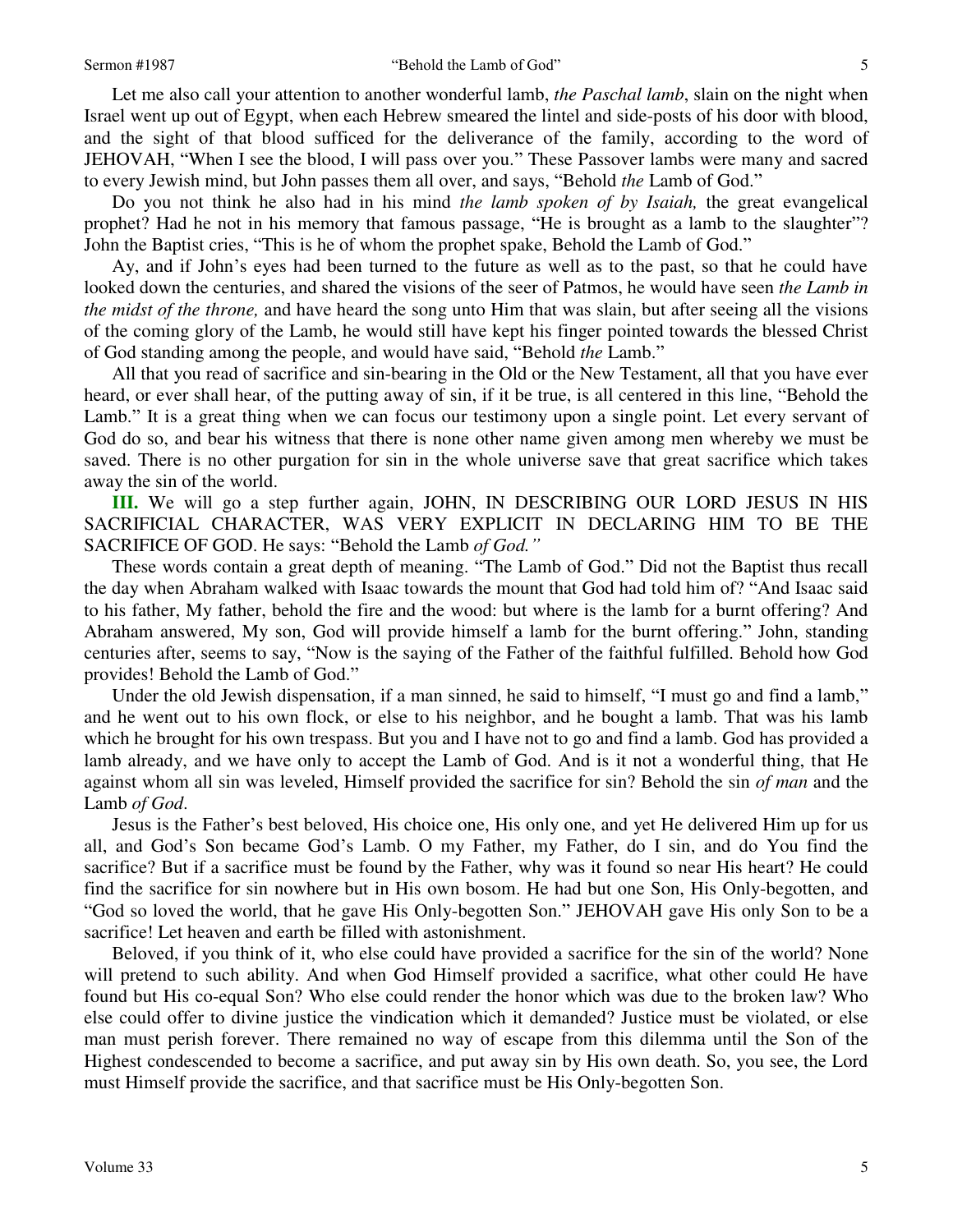Let me also call your attention to another wonderful lamb, *the Paschal lamb*, slain on the night when Israel went up out of Egypt, when each Hebrew smeared the lintel and side-posts of his door with blood, and the sight of that blood sufficed for the deliverance of the family, according to the word of JEHOVAH, "When I see the blood, I will pass over you." These Passover lambs were many and sacred to every Jewish mind, but John passes them all over, and says, "Behold *the* Lamb of God."

Do you not think he also had in his mind *the lamb spoken of by Isaiah,* the great evangelical prophet? Had he not in his memory that famous passage, "He is brought as a lamb to the slaughter"? John the Baptist cries, "This is he of whom the prophet spake, Behold the Lamb of God."

Ay, and if John's eyes had been turned to the future as well as to the past, so that he could have looked down the centuries, and shared the visions of the seer of Patmos, he would have seen *the Lamb in the midst of the throne,* and have heard the song unto Him that was slain, but after seeing all the visions of the coming glory of the Lamb, he would still have kept his finger pointed towards the blessed Christ of God standing among the people, and would have said, "Behold *the* Lamb."

All that you read of sacrifice and sin-bearing in the Old or the New Testament, all that you have ever heard, or ever shall hear, of the putting away of sin, if it be true, is all centered in this line, "Behold the Lamb." It is a great thing when we can focus our testimony upon a single point. Let every servant of God do so, and bear his witness that there is none other name given among men whereby we must be saved. There is no other purgation for sin in the whole universe save that great sacrifice which takes away the sin of the world.

**III.** We will go a step further again, JOHN, IN DESCRIBING OUR LORD JESUS IN HIS SACRIFICIAL CHARACTER, WAS VERY EXPLICIT IN DECLARING HIM TO BE THE SACRIFICE OF GOD. He says: "Behold the Lamb *of God."*

These words contain a great depth of meaning. "The Lamb of God." Did not the Baptist thus recall the day when Abraham walked with Isaac towards the mount that God had told him of? "And Isaac said to his father, My father, behold the fire and the wood: but where is the lamb for a burnt offering? And Abraham answered, My son, God will provide himself a lamb for the burnt offering." John, standing centuries after, seems to say, "Now is the saying of the Father of the faithful fulfilled. Behold how God provides! Behold the Lamb of God."

Under the old Jewish dispensation, if a man sinned, he said to himself, "I must go and find a lamb," and he went out to his own flock, or else to his neighbor, and he bought a lamb. That was his lamb which he brought for his own trespass. But you and I have not to go and find a lamb. God has provided a lamb already, and we have only to accept the Lamb of God. And is it not a wonderful thing, that He against whom all sin was leveled, Himself provided the sacrifice for sin? Behold the sin *of man* and the Lamb *of God*.

Jesus is the Father's best beloved, His choice one, His only one, and yet He delivered Him up for us all, and God's Son became God's Lamb. O my Father, my Father, do I sin, and do You find the sacrifice? But if a sacrifice must be found by the Father, why was it found so near His heart? He could find the sacrifice for sin nowhere but in His own bosom. He had but one Son, His Only-begotten, and "God so loved the world, that he gave His Only-begotten Son." JEHOVAH gave His only Son to be a sacrifice! Let heaven and earth be filled with astonishment.

Beloved, if you think of it, who else could have provided a sacrifice for the sin of the world? None will pretend to such ability. And when God Himself provided a sacrifice, what other could He have found but His co-equal Son? Who else could render the honor which was due to the broken law? Who else could offer to divine justice the vindication which it demanded? Justice must be violated, or else man must perish forever. There remained no way of escape from this dilemma until the Son of the Highest condescended to become a sacrifice, and put away sin by His own death. So, you see, the Lord must Himself provide the sacrifice, and that sacrifice must be His Only-begotten Son.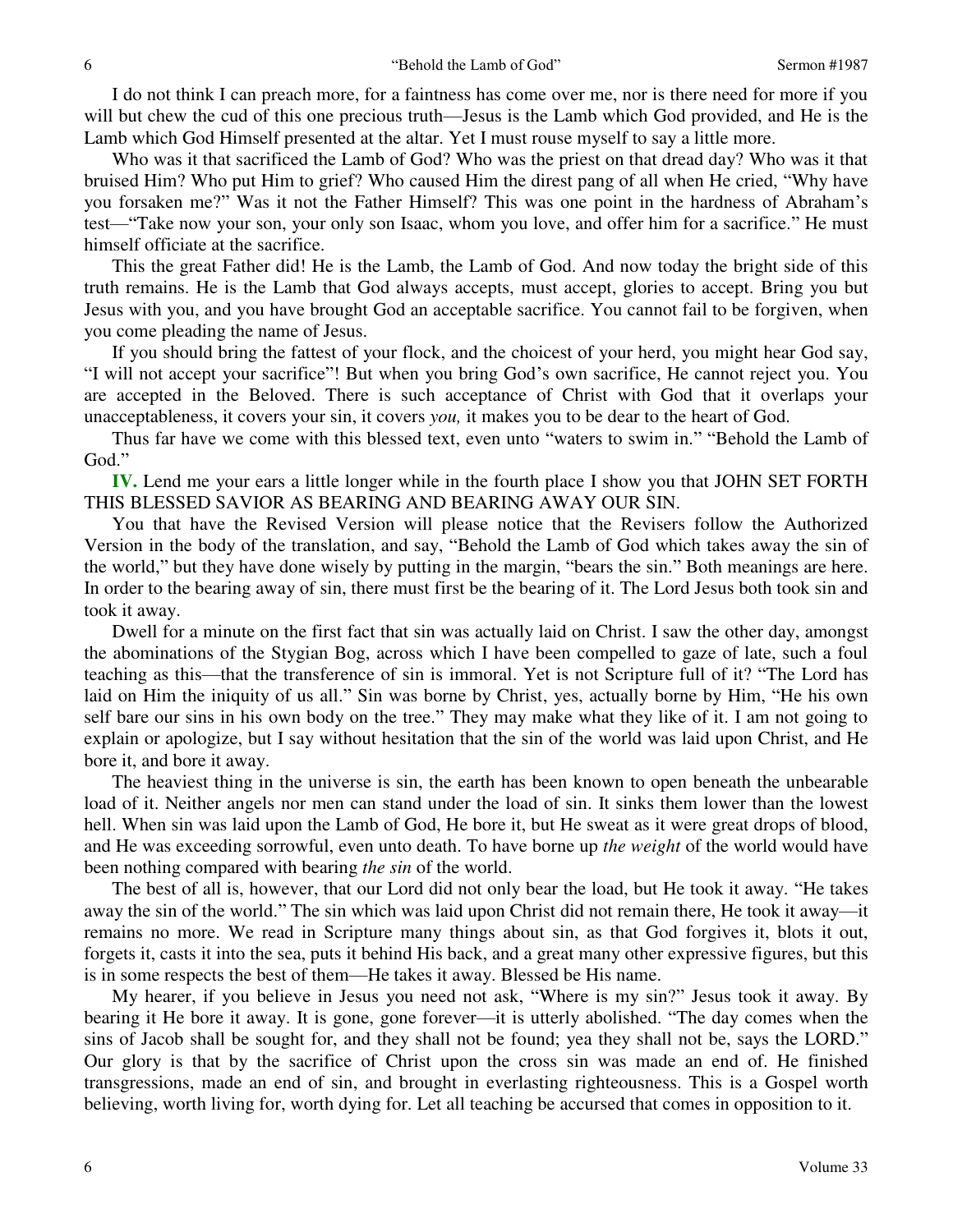I do not think I can preach more, for a faintness has come over me, nor is there need for more if you will but chew the cud of this one precious truth—Jesus is the Lamb which God provided, and He is the Lamb which God Himself presented at the altar. Yet I must rouse myself to say a little more.

Who was it that sacrificed the Lamb of God? Who was the priest on that dread day? Who was it that bruised Him? Who put Him to grief? Who caused Him the direst pang of all when He cried, "Why have you forsaken me?" Was it not the Father Himself? This was one point in the hardness of Abraham's test—"Take now your son, your only son Isaac, whom you love, and offer him for a sacrifice." He must himself officiate at the sacrifice.

This the great Father did! He is the Lamb, the Lamb of God. And now today the bright side of this truth remains. He is the Lamb that God always accepts, must accept, glories to accept. Bring you but Jesus with you, and you have brought God an acceptable sacrifice. You cannot fail to be forgiven, when you come pleading the name of Jesus.

If you should bring the fattest of your flock, and the choicest of your herd, you might hear God say, "I will not accept your sacrifice"! But when you bring God's own sacrifice, He cannot reject you. You are accepted in the Beloved. There is such acceptance of Christ with God that it overlaps your unacceptableness, it covers your sin, it covers *you,* it makes you to be dear to the heart of God.

Thus far have we come with this blessed text, even unto "waters to swim in." "Behold the Lamb of God."

**IV.** Lend me your ears a little longer while in the fourth place I show you that JOHN SET FORTH THIS BLESSED SAVIOR AS BEARING AND BEARING AWAY OUR SIN.

You that have the Revised Version will please notice that the Revisers follow the Authorized Version in the body of the translation, and say, "Behold the Lamb of God which takes away the sin of the world," but they have done wisely by putting in the margin, "bears the sin." Both meanings are here. In order to the bearing away of sin, there must first be the bearing of it. The Lord Jesus both took sin and took it away.

Dwell for a minute on the first fact that sin was actually laid on Christ. I saw the other day, amongst the abominations of the Stygian Bog, across which I have been compelled to gaze of late, such a foul teaching as this—that the transference of sin is immoral. Yet is not Scripture full of it? "The Lord has laid on Him the iniquity of us all." Sin was borne by Christ, yes, actually borne by Him, "He his own self bare our sins in his own body on the tree." They may make what they like of it. I am not going to explain or apologize, but I say without hesitation that the sin of the world was laid upon Christ, and He bore it, and bore it away.

The heaviest thing in the universe is sin, the earth has been known to open beneath the unbearable load of it. Neither angels nor men can stand under the load of sin. It sinks them lower than the lowest hell. When sin was laid upon the Lamb of God, He bore it, but He sweat as it were great drops of blood, and He was exceeding sorrowful, even unto death. To have borne up *the weight* of the world would have been nothing compared with bearing *the sin* of the world.

The best of all is, however, that our Lord did not only bear the load, but He took it away. "He takes away the sin of the world." The sin which was laid upon Christ did not remain there, He took it away—it remains no more. We read in Scripture many things about sin, as that God forgives it, blots it out, forgets it, casts it into the sea, puts it behind His back, and a great many other expressive figures, but this is in some respects the best of them—He takes it away. Blessed be His name.

My hearer, if you believe in Jesus you need not ask, "Where is my sin?" Jesus took it away. By bearing it He bore it away. It is gone, gone forever—it is utterly abolished. "The day comes when the sins of Jacob shall be sought for, and they shall not be found; yea they shall not be, says the LORD." Our glory is that by the sacrifice of Christ upon the cross sin was made an end of. He finished transgressions, made an end of sin, and brought in everlasting righteousness. This is a Gospel worth believing, worth living for, worth dying for. Let all teaching be accursed that comes in opposition to it.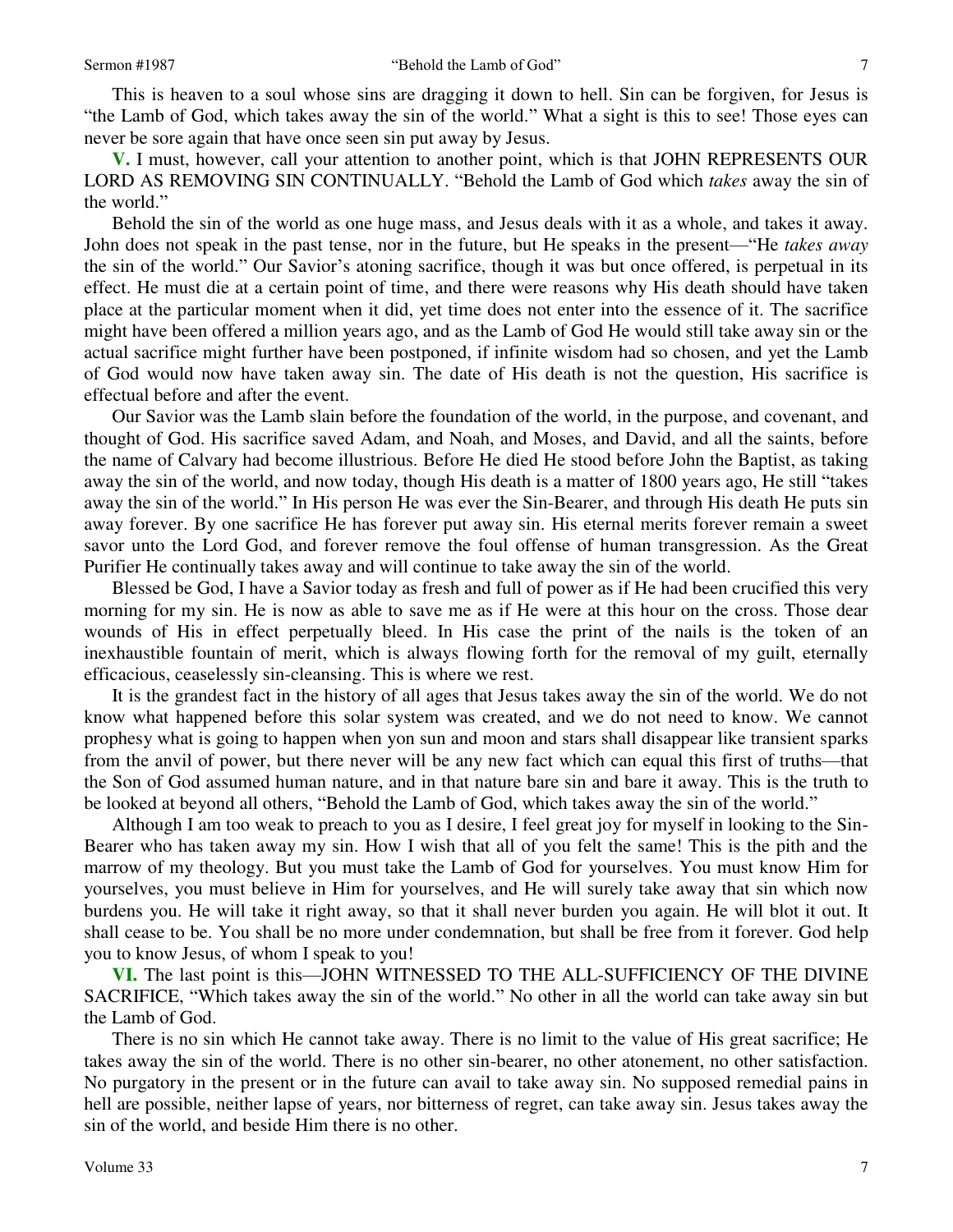This is heaven to a soul whose sins are dragging it down to hell. Sin can be forgiven, for Jesus is "the Lamb of God, which takes away the sin of the world." What a sight is this to see! Those eyes can never be sore again that have once seen sin put away by Jesus.

**V.** I must, however, call your attention to another point, which is that JOHN REPRESENTS OUR LORD AS REMOVING SIN CONTINUALLY. "Behold the Lamb of God which *takes* away the sin of the world."

Behold the sin of the world as one huge mass, and Jesus deals with it as a whole, and takes it away. John does not speak in the past tense, nor in the future, but He speaks in the present—"He *takes away* the sin of the world." Our Savior's atoning sacrifice, though it was but once offered, is perpetual in its effect. He must die at a certain point of time, and there were reasons why His death should have taken place at the particular moment when it did, yet time does not enter into the essence of it. The sacrifice might have been offered a million years ago, and as the Lamb of God He would still take away sin or the actual sacrifice might further have been postponed, if infinite wisdom had so chosen, and yet the Lamb of God would now have taken away sin. The date of His death is not the question, His sacrifice is effectual before and after the event.

Our Savior was the Lamb slain before the foundation of the world, in the purpose, and covenant, and thought of God. His sacrifice saved Adam, and Noah, and Moses, and David, and all the saints, before the name of Calvary had become illustrious. Before He died He stood before John the Baptist, as taking away the sin of the world, and now today, though His death is a matter of 1800 years ago, He still "takes away the sin of the world." In His person He was ever the Sin-Bearer, and through His death He puts sin away forever. By one sacrifice He has forever put away sin. His eternal merits forever remain a sweet savor unto the Lord God, and forever remove the foul offense of human transgression. As the Great Purifier He continually takes away and will continue to take away the sin of the world.

Blessed be God, I have a Savior today as fresh and full of power as if He had been crucified this very morning for my sin. He is now as able to save me as if He were at this hour on the cross. Those dear wounds of His in effect perpetually bleed. In His case the print of the nails is the token of an inexhaustible fountain of merit, which is always flowing forth for the removal of my guilt, eternally efficacious, ceaselessly sin-cleansing. This is where we rest.

It is the grandest fact in the history of all ages that Jesus takes away the sin of the world. We do not know what happened before this solar system was created, and we do not need to know. We cannot prophesy what is going to happen when yon sun and moon and stars shall disappear like transient sparks from the anvil of power, but there never will be any new fact which can equal this first of truths—that the Son of God assumed human nature, and in that nature bare sin and bare it away. This is the truth to be looked at beyond all others, "Behold the Lamb of God, which takes away the sin of the world."

Although I am too weak to preach to you as I desire, I feel great joy for myself in looking to the Sin-Bearer who has taken away my sin. How I wish that all of you felt the same! This is the pith and the marrow of my theology. But you must take the Lamb of God for yourselves. You must know Him for yourselves, you must believe in Him for yourselves, and He will surely take away that sin which now burdens you. He will take it right away, so that it shall never burden you again. He will blot it out. It shall cease to be. You shall be no more under condemnation, but shall be free from it forever. God help you to know Jesus, of whom I speak to you!

**VI.** The last point is this—JOHN WITNESSED TO THE ALL-SUFFICIENCY OF THE DIVINE SACRIFICE, "Which takes away the sin of the world." No other in all the world can take away sin but the Lamb of God.

There is no sin which He cannot take away. There is no limit to the value of His great sacrifice; He takes away the sin of the world. There is no other sin-bearer, no other atonement, no other satisfaction. No purgatory in the present or in the future can avail to take away sin. No supposed remedial pains in hell are possible, neither lapse of years, nor bitterness of regret, can take away sin. Jesus takes away the sin of the world, and beside Him there is no other.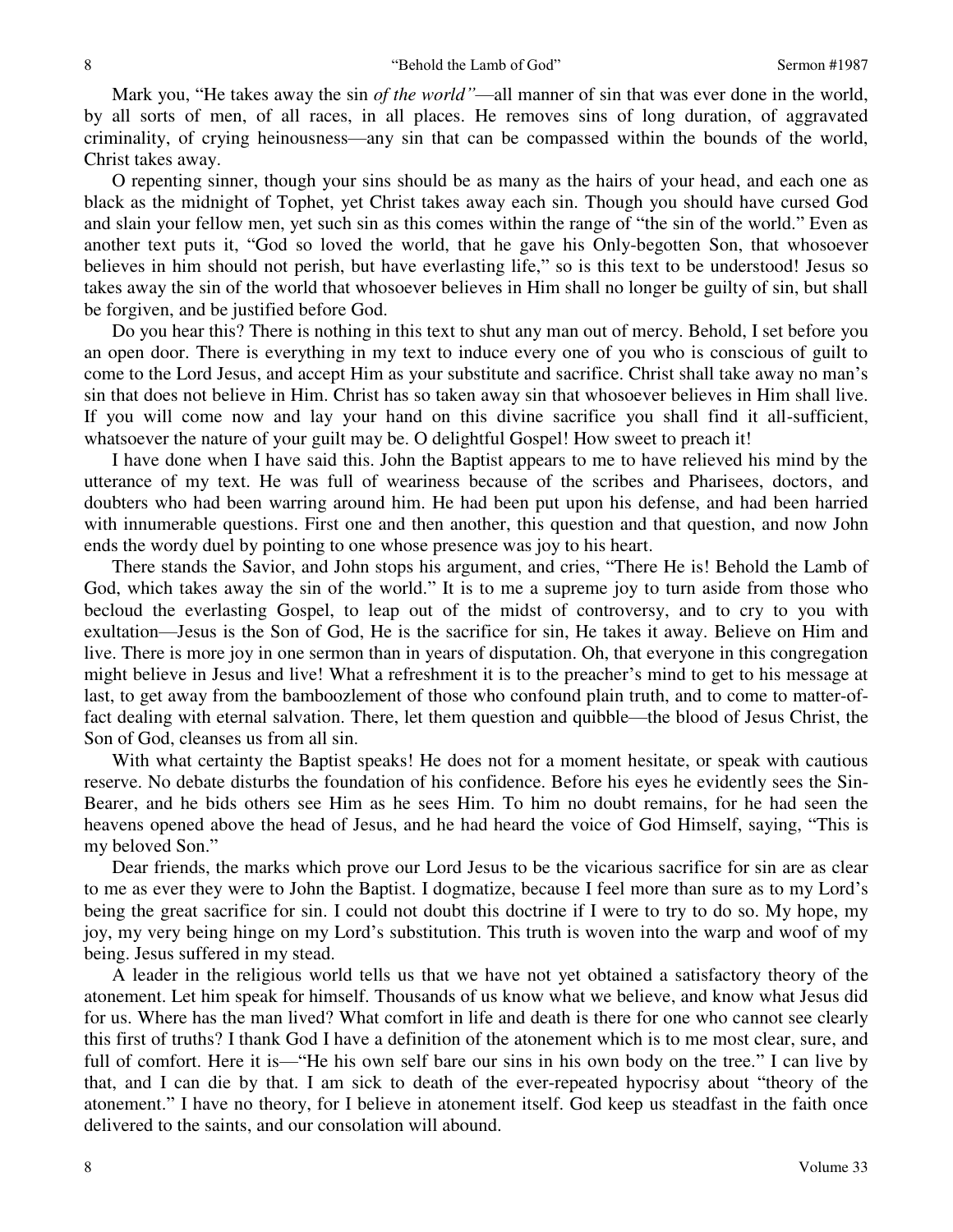Mark you, "He takes away the sin *of the world*"—all manner of sin that was ever done in the world, by all sorts of men, of all races, in all places. He removes sins of long duration, of aggravated criminality, of crying heinousness—any sin that can be compassed within the bounds of the world, Christ takes away.

O repenting sinner, though your sins should be as many as the hairs of your head, and each one as black as the midnight of Tophet, yet Christ takes away each sin. Though you should have cursed God and slain your fellow men, yet such sin as this comes within the range of "the sin of the world." Even as another text puts it, "God so loved the world, that he gave his Only-begotten Son, that whosoever believes in him should not perish, but have everlasting life," so is this text to be understood! Jesus so takes away the sin of the world that whosoever believes in Him shall no longer be guilty of sin, but shall be forgiven, and be justified before God.

Do you hear this? There is nothing in this text to shut any man out of mercy. Behold, I set before you an open door. There is everything in my text to induce every one of you who is conscious of guilt to come to the Lord Jesus, and accept Him as your substitute and sacrifice. Christ shall take away no man's sin that does not believe in Him. Christ has so taken away sin that whosoever believes in Him shall live. If you will come now and lay your hand on this divine sacrifice you shall find it all-sufficient, whatsoever the nature of your guilt may be. O delightful Gospel! How sweet to preach it!

I have done when I have said this. John the Baptist appears to me to have relieved his mind by the utterance of my text. He was full of weariness because of the scribes and Pharisees, doctors, and doubters who had been warring around him. He had been put upon his defense, and had been harried with innumerable questions. First one and then another, this question and that question, and now John ends the wordy duel by pointing to one whose presence was joy to his heart.

There stands the Savior, and John stops his argument, and cries, "There He is! Behold the Lamb of God, which takes away the sin of the world." It is to me a supreme joy to turn aside from those who becloud the everlasting Gospel, to leap out of the midst of controversy, and to cry to you with exultation—Jesus is the Son of God, He is the sacrifice for sin, He takes it away. Believe on Him and live. There is more joy in one sermon than in years of disputation. Oh, that everyone in this congregation might believe in Jesus and live! What a refreshment it is to the preacher's mind to get to his message at last, to get away from the bamboozlement of those who confound plain truth, and to come to matter-offact dealing with eternal salvation. There, let them question and quibble—the blood of Jesus Christ, the Son of God, cleanses us from all sin.

With what certainty the Baptist speaks! He does not for a moment hesitate, or speak with cautious reserve. No debate disturbs the foundation of his confidence. Before his eyes he evidently sees the Sin-Bearer, and he bids others see Him as he sees Him. To him no doubt remains, for he had seen the heavens opened above the head of Jesus, and he had heard the voice of God Himself, saying, "This is my beloved Son."

Dear friends, the marks which prove our Lord Jesus to be the vicarious sacrifice for sin are as clear to me as ever they were to John the Baptist. I dogmatize, because I feel more than sure as to my Lord's being the great sacrifice for sin. I could not doubt this doctrine if I were to try to do so. My hope, my joy, my very being hinge on my Lord's substitution. This truth is woven into the warp and woof of my being. Jesus suffered in my stead.

A leader in the religious world tells us that we have not yet obtained a satisfactory theory of the atonement. Let him speak for himself. Thousands of us know what we believe, and know what Jesus did for us. Where has the man lived? What comfort in life and death is there for one who cannot see clearly this first of truths? I thank God I have a definition of the atonement which is to me most clear, sure, and full of comfort. Here it is—"He his own self bare our sins in his own body on the tree." I can live by that, and I can die by that. I am sick to death of the ever-repeated hypocrisy about "theory of the atonement." I have no theory, for I believe in atonement itself. God keep us steadfast in the faith once delivered to the saints, and our consolation will abound.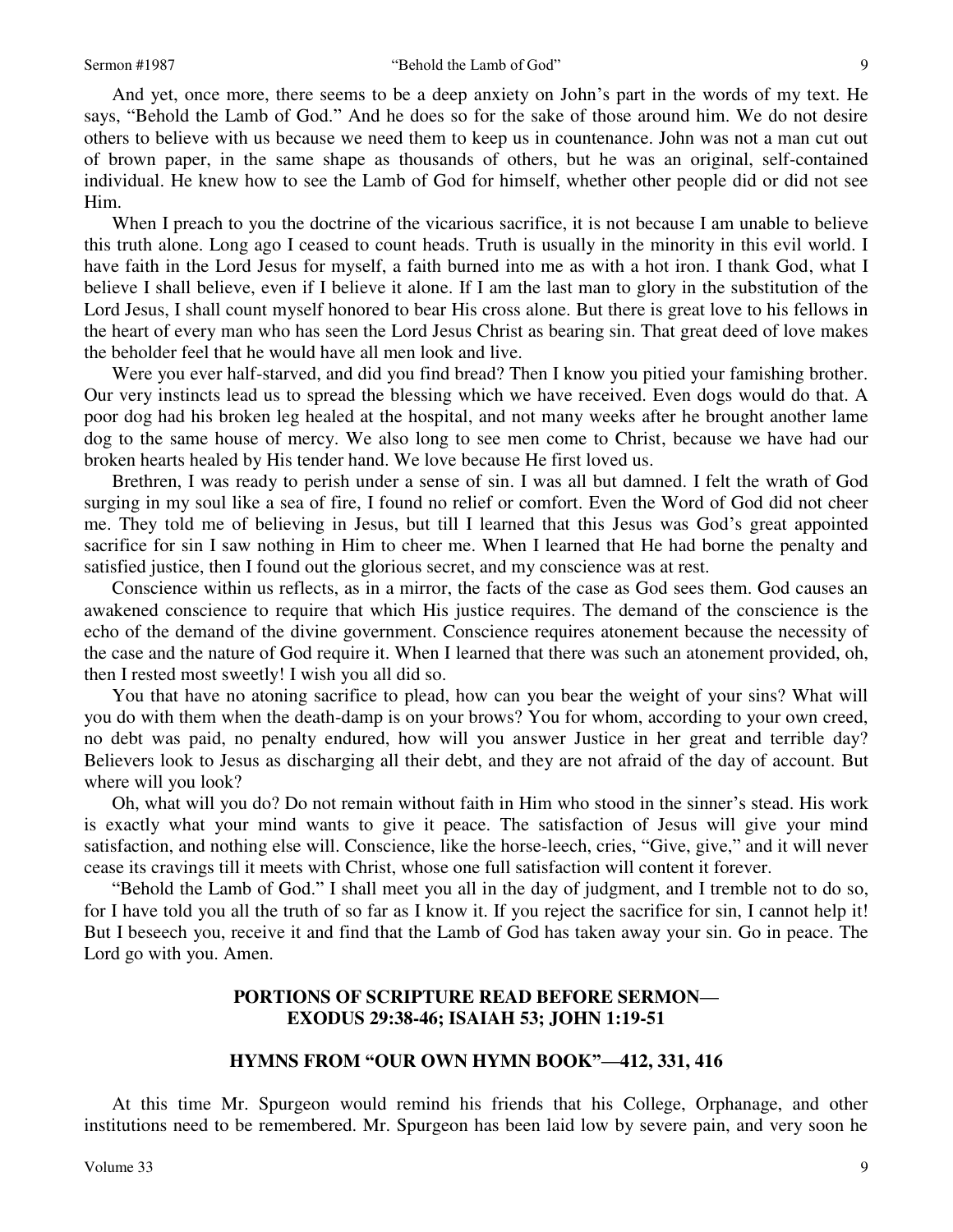And yet, once more, there seems to be a deep anxiety on John's part in the words of my text. He says, "Behold the Lamb of God." And he does so for the sake of those around him. We do not desire others to believe with us because we need them to keep us in countenance. John was not a man cut out of brown paper, in the same shape as thousands of others, but he was an original, self-contained individual. He knew how to see the Lamb of God for himself, whether other people did or did not see Him.

When I preach to you the doctrine of the vicarious sacrifice, it is not because I am unable to believe this truth alone. Long ago I ceased to count heads. Truth is usually in the minority in this evil world. I have faith in the Lord Jesus for myself, a faith burned into me as with a hot iron. I thank God, what I believe I shall believe, even if I believe it alone. If I am the last man to glory in the substitution of the Lord Jesus, I shall count myself honored to bear His cross alone. But there is great love to his fellows in the heart of every man who has seen the Lord Jesus Christ as bearing sin. That great deed of love makes the beholder feel that he would have all men look and live.

Were you ever half-starved, and did you find bread? Then I know you pitied your famishing brother. Our very instincts lead us to spread the blessing which we have received. Even dogs would do that. A poor dog had his broken leg healed at the hospital, and not many weeks after he brought another lame dog to the same house of mercy. We also long to see men come to Christ, because we have had our broken hearts healed by His tender hand. We love because He first loved us.

Brethren, I was ready to perish under a sense of sin. I was all but damned. I felt the wrath of God surging in my soul like a sea of fire, I found no relief or comfort. Even the Word of God did not cheer me. They told me of believing in Jesus, but till I learned that this Jesus was God's great appointed sacrifice for sin I saw nothing in Him to cheer me. When I learned that He had borne the penalty and satisfied justice, then I found out the glorious secret, and my conscience was at rest.

Conscience within us reflects, as in a mirror, the facts of the case as God sees them. God causes an awakened conscience to require that which His justice requires. The demand of the conscience is the echo of the demand of the divine government. Conscience requires atonement because the necessity of the case and the nature of God require it. When I learned that there was such an atonement provided, oh, then I rested most sweetly! I wish you all did so.

You that have no atoning sacrifice to plead, how can you bear the weight of your sins? What will you do with them when the death-damp is on your brows? You for whom, according to your own creed, no debt was paid, no penalty endured, how will you answer Justice in her great and terrible day? Believers look to Jesus as discharging all their debt, and they are not afraid of the day of account. But where will you look?

Oh, what will you do? Do not remain without faith in Him who stood in the sinner's stead. His work is exactly what your mind wants to give it peace. The satisfaction of Jesus will give your mind satisfaction, and nothing else will. Conscience, like the horse-leech, cries, "Give, give," and it will never cease its cravings till it meets with Christ, whose one full satisfaction will content it forever.

"Behold the Lamb of God." I shall meet you all in the day of judgment, and I tremble not to do so, for I have told you all the truth of so far as I know it. If you reject the sacrifice for sin, I cannot help it! But I beseech you, receive it and find that the Lamb of God has taken away your sin. Go in peace. The Lord go with you. Amen.

## **PORTIONS OF SCRIPTURE READ BEFORE SERMON— EXODUS 29:38-46; ISAIAH 53; JOHN 1:19-51**

## **HYMNS FROM "OUR OWN HYMN BOOK"—412, 331, 416**

At this time Mr. Spurgeon would remind his friends that his College, Orphanage, and other institutions need to be remembered. Mr. Spurgeon has been laid low by severe pain, and very soon he